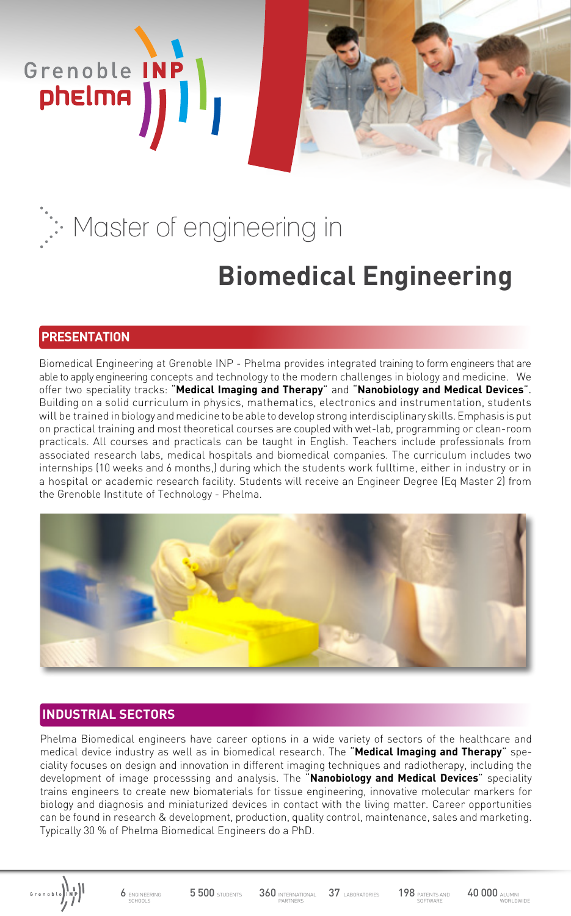# **Biomedical Engineering** Master of engineering in

## **PRESENTATION**

Grenoble INP

Biomedical Engineering at Grenoble INP - Phelma provides integrated training to form engineers that are able to apply engineering concepts and technology to the modern challenges in biology and medicine. We offer two speciality tracks: "**Medical Imaging and Therapy**" and "**Nanobiology and Medical Devices**". Building on a solid curriculum in physics, mathematics, electronics and instrumentation, students will be trained in biology and medicine to be able to develop strong interdisciplinary skills. Emphasis is put on practical training and most theoretical courses are coupled with wet-lab, programming or clean-room practicals. All courses and practicals can be taught in English. Teachers include professionals from associated research labs, medical hospitals and biomedical companies. The curriculum includes two internships (10 weeks and 6 months,) during which the students work fulltime, either in industry or in a hospital or academic research facility. Students will receive an Engineer Degree (Eq Master 2) from the Grenoble Institute of Technology - Phelma.



## **INDUSTRIAL SECTORS**

Phelma Biomedical engineers have career options in a wide variety of sectors of the healthcare and medical device industry as well as in biomedical research. The "**Medical Imaging and Therapy**" speciality focuses on design and innovation in different imaging techniques and radiotherapy, including the development of image processsing and analysis. The "**Nanobiology and Medical Devices**" speciality trains engineers to create new biomaterials for tissue engineering, innovative molecular markers for biology and diagnosis and miniaturized devices in contact with the living matter. Career opportunities can be found in research & development, production, quality control, maintenance, sales and marketing. Typically 30 % of Phelma Biomedical Engineers do a PhD.

6 ENGINEERING SCHOOLS

5 500 STUDENTS 360 INTERNATIONAL 37 LABORATORIES

PARTNERS

37 LABORATORIES 198 PATENTS AND 40 000 ALUMN